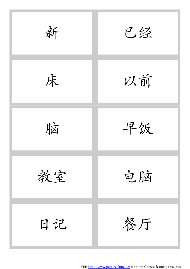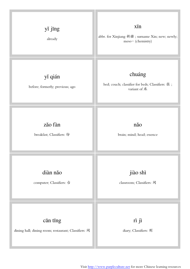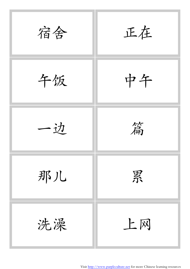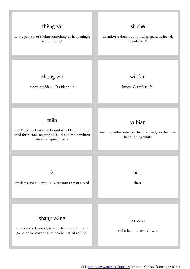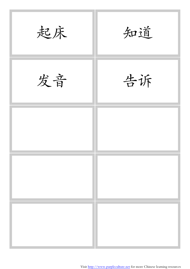